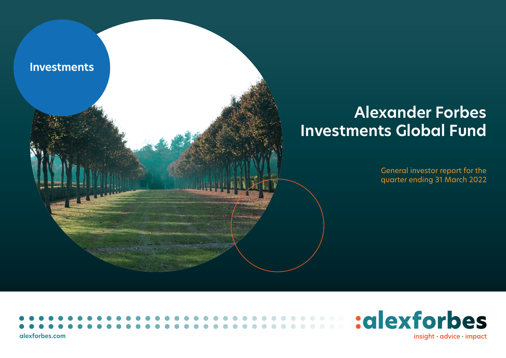

# **Alexander Forbes Investments Global Fund**

General investor report for the quarter ending 31 March 2022



**[alexforbes.com](http://alexforbes.com)**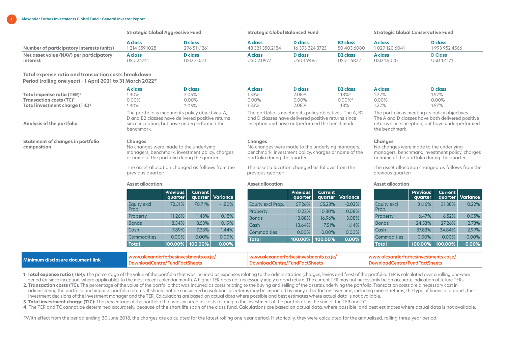|                                           | <b>Strategic Global Aggressive Fund</b> |              |                 | Strategic Global Balanced Fund |                 |              | <b>Strategic Global Conservative Fund</b> |  |  |
|-------------------------------------------|-----------------------------------------|--------------|-----------------|--------------------------------|-----------------|--------------|-------------------------------------------|--|--|
| Number of participatory interests (units) | A class                                 | D class      | A class         | D class                        | <b>B2</b> class | A class      | <b>D</b> class                            |  |  |
|                                           | 1 214 359.1028                          | 296 511.1261 | 48 321 350.2184 | 16 393 324.3723                | 50403.6080      | 1029120.6041 | 1993952.4566                              |  |  |
| Net asset value (NAV) per participatory   | A class                                 | D class      | A class         | D class                        | <b>B2</b> class | A class      | <b>D</b> Class                            |  |  |
| interest                                  | <b>USD 2.1741</b>                       | USD 2.0511   | USD 2.0977      | <b>USD 1.9495</b>              | USD 1.5872      | USD 1.5020   | USD 1.4171                                |  |  |

## **Total expense ratio and transaction costs breakdown Period (rolling one year) - 1 April 2021 to 31 March 2022\***

| Total expense ratio (TER) <sup>1</sup><br>Transaction costs (TC) <sup>2</sup><br>Total investment charge (TIC) <sup>3</sup> | A class<br>1.30%<br>0.00%<br>1.30% |                                                                                                                                                                                                                                                                                                   | <b>D</b> class<br>2.05%<br>0.00%<br>2.05% |          | <b>A</b> class<br>1.33%<br>0.00%<br>1.33%                                                                                                                          | <b>D</b> class<br>2.08%<br>0.00%<br>2.08% |                           | <b>B2</b> class<br>1.18% <sup>4</sup><br>0.00% <sup>4</sup><br>1.18% | <b>A</b> class<br>1.22%<br>0.00%<br>1.22%                                                                                                                                 |                            | <b>D</b> class<br>1.97%<br>0.00%<br>1.97% |          |
|-----------------------------------------------------------------------------------------------------------------------------|------------------------------------|---------------------------------------------------------------------------------------------------------------------------------------------------------------------------------------------------------------------------------------------------------------------------------------------------|-------------------------------------------|----------|--------------------------------------------------------------------------------------------------------------------------------------------------------------------|-------------------------------------------|---------------------------|----------------------------------------------------------------------|---------------------------------------------------------------------------------------------------------------------------------------------------------------------------|----------------------------|-------------------------------------------|----------|
| <b>Analysis of the portfolio</b>                                                                                            | benchmark.                         | The portfolio is meeting its policy objectives. A,<br>D and B2 classes have delivered positive returns<br>since inception, but have underperformed the                                                                                                                                            |                                           |          | The portfolio is meeting its policy objectives. The A, B2<br>and D classes have delivered positive returns since<br>inception and have outperformed the benchmark. |                                           |                           |                                                                      | The portfolio is meeting its policy objectives.<br>The A and D classes have both delivered positive<br>returns since inception, but have underperformed<br>the benchmark. |                            |                                           |          |
| <b>Statement of changes in portfolio</b><br>composition                                                                     | <b>Changes</b>                     | Changes<br>No changes were made to the underlying<br>No changes were made to the underlying managers,<br>managers, benchmark, investment policy, charges<br>benchmark, investment policy, charges or name of the<br>or name of the portfolio during the quarter.<br>portfolio during the quarter. |                                           |          | <b>Changes</b><br>No changes were made to the underlying<br>managers, benchmark, investment policy, charges<br>or name of the portfolio during the quarter.        |                                           |                           |                                                                      |                                                                                                                                                                           |                            |                                           |          |
|                                                                                                                             | previous quarter:                  | The asset allocation changed as follows from the                                                                                                                                                                                                                                                  |                                           |          | The asset allocation changed as follows from the<br>previous quarter:                                                                                              |                                           |                           |                                                                      | The asset allocation changed as follows from the<br>previous quarter:                                                                                                     |                            |                                           |          |
|                                                                                                                             | <b>Asset allocation</b>            |                                                                                                                                                                                                                                                                                                   |                                           |          | <b>Asset allocation</b>                                                                                                                                            |                                           |                           |                                                                      | <b>Asset allocation</b>                                                                                                                                                   |                            |                                           |          |
|                                                                                                                             |                                    | <b>Previous</b><br>quarter                                                                                                                                                                                                                                                                        | Current<br>quarter                        | Variance |                                                                                                                                                                    | <b>Previous</b><br>quarter                | <b>Current</b><br>quarter | <b>Variance</b>                                                      |                                                                                                                                                                           | <b>Previous</b><br>quarter | <b>Current</b><br>quarter                 | Variance |
|                                                                                                                             | Equity excl                        | 72.51%                                                                                                                                                                                                                                                                                            | 70.71%                                    | $-1.80%$ | Equity excl Prop.                                                                                                                                                  | 57.26%                                    | 55.23%                    | $-2.02%$                                                             | <b>Equity excl</b>                                                                                                                                                        | 31.16%                     | 31.38%                                    | 0.22%    |
|                                                                                                                             | Prop.                              |                                                                                                                                                                                                                                                                                                   |                                           |          | Property                                                                                                                                                           | 10.22%                                    | 10.30%                    | 0.08%                                                                | Prop.                                                                                                                                                                     |                            |                                           |          |
|                                                                                                                             | Property                           | 11.26%                                                                                                                                                                                                                                                                                            | 11.43%                                    | 0.18%    | <b>Bonds</b>                                                                                                                                                       | 13.88%                                    | 16.96%                    | 3.08%                                                                | Property                                                                                                                                                                  | 6.47%                      | 6.52%                                     | 0.05%    |
|                                                                                                                             | <b>Bonds</b>                       | 8.34%                                                                                                                                                                                                                                                                                             | 8.53%                                     | 0.19%    | Cash                                                                                                                                                               | 18.64%                                    | 17.51%                    | $-1.14%$                                                             | <b>Bonds</b>                                                                                                                                                              | 24.53%                     | 27.26%                                    | 2.73%    |
|                                                                                                                             | Cash                               | 7.89%                                                                                                                                                                                                                                                                                             | 9.33%                                     | 1.44%    | Commodities                                                                                                                                                        | 0.00%                                     | 0.00%                     | 0.00%                                                                | Cash                                                                                                                                                                      | 37.83%                     | 34.84%                                    | $-2.99%$ |
|                                                                                                                             | <b>Commodities</b>                 | 0.00%                                                                                                                                                                                                                                                                                             | 0.00%                                     | 0.00%    | <b>Total</b>                                                                                                                                                       | 100.00%                                   | 100.00%                   | 0.00%                                                                | Commodities                                                                                                                                                               | 0.00%                      | 0.00%                                     | 0.00%    |
|                                                                                                                             | <b>Total</b>                       | 100.00%                                                                                                                                                                                                                                                                                           | 100.00%                                   | 0.00%    |                                                                                                                                                                    |                                           |                           |                                                                      | <b>Total</b>                                                                                                                                                              | 100.00%                    | 100.00%                                   | 0.00%    |

| Minimum disclosure document link |  | ww.alexanderforbesinvestments.co.je/<br>-ownloadCentre/FundFactSheets | www.alexanderforbesinvestments.co.je/<br>DownloadCentre/FundFactSheets } |
|----------------------------------|--|-----------------------------------------------------------------------|--------------------------------------------------------------------------|
|----------------------------------|--|-----------------------------------------------------------------------|--------------------------------------------------------------------------|

1. Total expense ratio (TER): The percentage of the value of the portfolio that was incurred as expenses relating to the administration (charges, levies and fees) of the portfolio. TER is calculated over a rolling one-year period (or since inception, where applicable), to the most recent calendar month. A higher TER does not necessarily imply a good return. The current TER may not necessarily be an accurate indication of future TERs.

**2. Transaction costs (TC):** The percentage of the value of the portfolio that was incurred as costs relating to the buying and selling of the assets underlying the portfolio. Transaction costs are a necessary cost in administering the portfolio and impacts portfolio returns. It should not be considered in isolation, as returns may be impacted by many other factors over time, including market returns, the type of financial product, the investment decisions of the investment manager and the TER. Calculations are based on actual data where possible and best estimates where actual data is not available.

**3. Total investment charge (TIC):** The percentage of the portfolio that was incurred as costs relating to the investment of the portfolio. It is the sum of the TER and TC.

**4**. The TER and TC cannot be determined accurately, because of the short life span of the class fund. Calculations are based on actual data, where possible, and best estimates where actual data is not available.

\*With effect from the period ending 30 June 2018, the charges are calculated for the latest rolling one-year period. Historically, they were calculated for the annualised, rolling three-year period.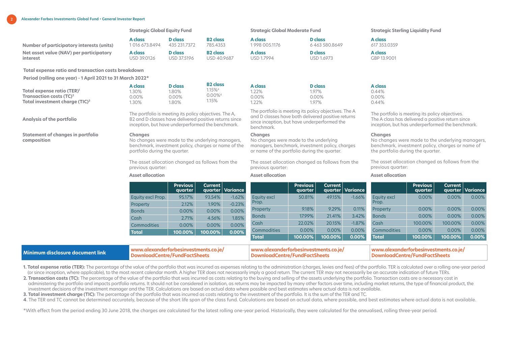**2 Alexander Forbes Investments Global Fund • General Investor Report**

|                                           | <b>Strategic Global Equity Fund</b> |                |                 | <b>Strategic Global Moderate Fund</b> |                   | <b>Strategic Sterling Liquidity Fund</b> |  |
|-------------------------------------------|-------------------------------------|----------------|-----------------|---------------------------------------|-------------------|------------------------------------------|--|
| Number of participatory interests (units) | A class                             | <b>D</b> class | <b>B2</b> class | A class                               | <b>D</b> class    | A class                                  |  |
|                                           | 1016 673.8494                       | 435 231.7372   | 785.4353        | 1 998 005.1176                        | 6463580.8649      | 617 353.0359                             |  |
| Net asset value (NAV) per participatory   | A class                             | <b>D</b> class | <b>B2</b> class | A class                               | <b>D</b> class    | A class                                  |  |
| interest                                  | USD 39.0126                         | USD 37.5196    | USD 40.9687     | USD 1.7994                            | <b>USD 1.6973</b> | GBP 13.9001                              |  |

**Total expense ratio and transaction costs breakdown**

**Period (rolling one year) - 1 April 2021 to 31 March 2022\***

**Analysis of the portfolio**

**composition**

**Statement of changes in portfolio** 

|                                            | A class | J class . | <b>B2</b> class      | A class | D class | A class |
|--------------------------------------------|---------|-----------|----------------------|---------|---------|---------|
| Total expense ratio (TER) <sup>1</sup>     | .30%    | .80%      | $.15\%$ <sup>4</sup> | .22%    | .97%    | 0.44%   |
| Transaction costs $(TC)^2$                 | J.00%   | 0.00%     | $0.00\%4$            | 0.00%   | 0.00%   | 0.00%   |
| Total investment charge (TIC) <sup>3</sup> | .30%    | .80%      | 1.15%                | .22%    | .97%    | 0.44%   |

The portfolio is meeting its policy objectives. The A, B2 and D classes have delivered positive returns since inception, but have underperformed the benchmark.

No changes were made to the underlying managers, benchmark, investment policy, charges or name of the

The asset allocation changed as follows from the

**Changes**

portfolio during the quarter.

previous quarter:

The portfolio is meeting its policy objectives. The A and D classes have both delivered positive returns since inception, but have underperformed the benchmark.

The portfolio is meeting its policy objectives. The A class has delivered a positive return since inception, but has underperformed the benchmark.

the portfolio during the quarter.

No changes were made to the underlying managers, benchmark, investment policy, charges or name of

The asset allocation changed as follows from the

**Changes**

previous quarter:

#### **Changes**

No changes were made to the underlying managers, benchmark, investment policy, charges or name of the portfolio during the quarter.

The asset allocation changed as follows from the previous quarter:

#### **Asset allocation Asset allocation Asset allocation**

|                    | <b>Previous</b><br>quarter | Current  <br>quarter | Variance |              | Previous<br>quarter | Current | quarter   Variance |              | <b>Previous</b><br>quarter | Current  | quarter   Variance |
|--------------------|----------------------------|----------------------|----------|--------------|---------------------|---------|--------------------|--------------|----------------------------|----------|--------------------|
| Equity excl Prop.  | 95.17%                     | 93.54%               | $-1.62%$ | Equity excl  | 50.81%              | 49.15%  | $-1.66%$           | Equity excl  | 0.00%                      | $0.00\%$ | 0.00%              |
| Property           | 2.12%                      | 1.90%                | $-0.23%$ | Prop.        |                     |         |                    | Prop.        |                            |          |                    |
| <b>Bonds</b>       | 0.00%                      | 0.00%                | 0.00%    | Property     | 9.18%               | 9.29%   | 0.11%              | Property     | 0.00%                      | $0.00\%$ | 0.00%              |
| Cash               | 2.71%                      | 4.56%                | 1.85%    | <b>Bonds</b> | 17.99%              | 21.41%  | 3.42%              | <b>Bonds</b> | 0.00%                      | 0.00%    | 0.00%              |
| <b>Commodities</b> | 0.00%                      | 0.00%                | $0.00\%$ | Cash         | 22.02%              | 20.15%  | $-1.87%$           | Cash         | 100.00%                    | 100.00%  | 0.00%              |
|                    |                            |                      |          | Commodities  | 0.00%               | 0.00%   | 0.00%              | Commodities  | 0.00%                      | 0.00%    | 0.00%              |
| <b>Total</b>       | 100.00%                    | 100.00%              | 0.00%    |              |                     |         |                    |              |                            |          |                    |
|                    |                            |                      |          | <b>Total</b> | 100.00%             | 100.00% | 0.00%              | Total        | 100.00%                    | 100.00%  | 0.00%              |

| Minimum disclosure document link | www.alexanderforbesinvestments.co.ie | www.alexanderforbesinvestments |  |
|----------------------------------|--------------------------------------|--------------------------------|--|
|                                  | vnloadCentre/FundFac                 | .centre/*                      |  |

1. Total expense ratio (TER): The percentage of the value of the portfolio that was incurred as expenses relating to the administration (charges, levies and fees) of the portfolio. TER is calculated over a rolling one-year (or since inception, where applicable), to the most recent calendar month. A higher TER does not necessarily imply a good return. The current TER may not necessarily be an accurate indication of future TERs.

**2. Transaction costs (TC):** The percentage of the value of the portfolio that was incurred as costs relating to the buying and selling of the assets underlying the portfolio. Transaction costs are a necessary cost in administering the portfolio and impacts portfolio returns. It should not be considered in isolation, as returns may be impacted by many other factors over time, including market returns, the type of financial product, the investment decisions of the investment manager and the TER. Calculations are based on actual data where possible and best estimates where actual data is not available.

**3. Total investment charge (TIC):** The percentage of the portfolio that was incurred as costs relating to the investment of the portfolio. It is the sum of the TER and TC.

**4**. The TER and TC cannot be determined accurately, because of the short life span of the class fund. Calculations are based on actual data, where possible, and best estimates where actual data is not available.

\*With effect from the period ending 30 June 2018, the charges are calculated for the latest rolling one-year period. Historically, they were calculated for the annualised, rolling three-year period.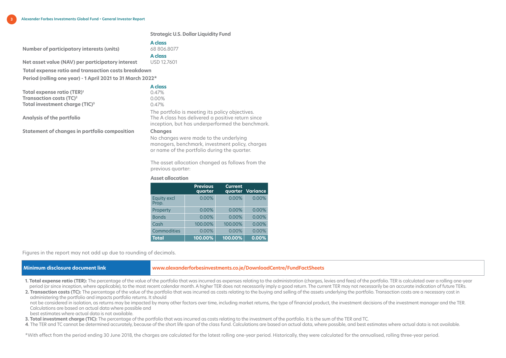**Strategic U.S. Dollar Liquidity Fund**

#### **A class**  68 806.8077

**Number of participatory interests (units)**

**Net asset value (NAV) per participatory interest** 

**A class**  USD 12.7601

**Total expense ratio and transaction costs breakdown** 

**Period (rolling one year) - 1 April 2021 to 31 March 2022\***

**Total expense ratio (TER)1 Transaction costs (TC)2 Total investment charge (TIC)3**

**Analysis of the portfolio**

**A class** 0.47% 0.00%

0.47%

The portfolio is meeting its policy objectives. The A class has delivered a positive return since inception, but has underperformed the benchmark.

#### **Statement of changes in portfolio composition Changes**

No changes were made to the underlying managers, benchmark, investment policy, charges or name of the portfolio during the quarter.

The asset allocation changed as follows from the previous quarter:

#### **Asset allocation**

|                             | <b>Previous</b><br>quarter | <b>Current</b> | quarter Variance |
|-----------------------------|----------------------------|----------------|------------------|
| <b>Equity excl</b><br>Prop. | 0.00%                      | 0.00%          | 0.00%            |
| Property                    | 0.00%                      | 0.00%          | 0.00%            |
| <b>Bonds</b>                | 0.00%                      | 0.00%          | 0.00%            |
| Cash                        | 100.00%                    | 100.00%        | 0.00%            |
| Commodities                 | 0.00%                      | 0.00%          | 0.00%            |
| <b>Total</b>                | 100.00%                    | 100.00%        | 0.00%            |

Figures in the report may not add up due to rounding of decimals.

## **Minimum disclosure document link www.alexanderforbesinvestments.co.j[e/DownloadCentre/FundFactSheets](https://sa.investmentsolutions.co.za/Jersey/DownloadCentre/FundFactSheets)**

1. Total expense ratio (TER): The percentage of the value of the portfolio that was incurred as expenses relating to the administration (charges, levies and fees) of the portfolio. TER is calculated over a rolling one-year period (or since inception, where applicable), to the most recent calendar month. A higher TER does not necessarily imply a good return. The current TER may not necessarily be an accurate indication of future TERs.

**2. Transaction costs (TC):** The percentage of the value of the portfolio that was incurred as costs relating to the buying and selling of the assets underlying the portfolio. Transaction costs are a necessary cost in administering the portfolio and impacts portfolio returns. It should

not be considered in isolation, as returns may be impacted by many other factors over time, including market returns, the type of financial product, the investment decisions of the investment manager and the TER. Calculations are based on actual data where possible and

best estimates where actual data is not available.

**3. Total investment charge (TIC):** The percentage of the portfolio that was incurred as costs relating to the investment of the portfolio. It is the sum of the TER and TC.

**4**. The TER and TC cannot be determined accurately, because of the short life span of the class fund. Calculations are based on actual data, where possible, and best estimates where actual data is not available.

\*With effect from the period ending 30 June 2018, the charges are calculated for the latest rolling one-year period. Historically, they were calculated for the annualised, rolling three-year period.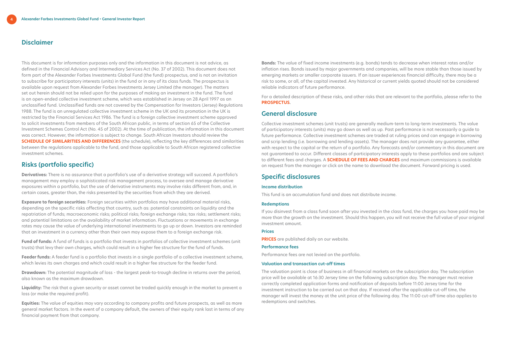## **Disclaimer**

This document is for information purposes only and the information in this document is not advice, as defined in the Financial Advisory and Intermediary Services Act (No. 37 of 2002). This document does not form part of the Alexander Forbes Investments Global Fund (the fund) prospectus, and is not an invitation to subscribe for participatory interests (units) in the fund or in any of its class funds. The prospectus is available upon request from Alexander Forbes Investments Jersey Limited (the manager). The matters set out herein should not be relied upon for the purposes of making an investment in the fund. The fund is an open-ended collective investment scheme, which was established in Jersey on 28 April 1997 as an unclassified fund. Unclassified funds are not covered by the Compensation for Investors (Jersey) Regulations 1988. The fund is an unregulated collective investment scheme in the UK and its promotion in the UK is restricted by the Financial Services Act 1986. The fund is a foreign collective investment scheme approved to solicit investments from members of the South African public, in terms of section 65 of the Collective Investment Schemes Control Act (No. 45 of 2002). At the time of publication, the information in this document was correct. However, the information is subject to change. South African Investors should review the **[SCHEDULE OF SIMILARITIES AND DIFFERENCES](https://www.alexanderforbesinvestments.co.je/Documentation/DownloadFile?mappingName=IsJersey&fileName=SGF_Similarities_and_Differences.pdf)** (the schedule), reflecting the key differences and similarities between the regulations applicable to the fund, and those applicable to South African registered collective investment schemes.

# **Risks (portfolio specific)**

**Derivatives:** There is no assurance that a portfolio's use of a derivative strategy will succeed. A portfolio's management may employ a sophisticated risk management process, to oversee and manage derivative exposures within a portfolio, but the use of derivative instruments may involve risks different from, and, in certain cases, greater than, the risks presented by the securities from which they are derived.

**Exposure to foreign securities:** Foreign securities within portfolios may have additional material risks, depending on the specific risks affecting that country, such as: potential constraints on liquidity and the repatriation of funds; macroeconomic risks; political risks; foreign exchange risks; tax risks; settlement risks; and potential limitations on the availability of market information. Fluctuations or movements in exchange rates may cause the value of underlying international investments to go up or down. Investors are reminded that an investment in a currency other than their own may expose them to a foreign exchange risk.

**Fund of funds:** A fund of funds is a portfolio that invests in portfolios of collective investment schemes (unit trusts) that levy their own charges, which could result in a higher fee structure for the fund of funds.

**Feeder funds:** A feeder fund is a portfolio that invests in a single portfolio of a collective investment scheme, which levies its own charges and which could result in a higher fee structure for the feeder fund.

**Drawdown:** The potential magnitude of loss - the largest peak-to-trough decline in returns over the period, also known as the maximum drawdown.

**Liquidity:** The risk that a given security or asset cannot be traded quickly enough in the market to prevent a loss (or make the required profit).

**Equities:** The value of equities may vary according to company profits and future prospects, as well as more general market factors. In the event of a company default, the owners of their equity rank last in terms of any financial payment from that company.

**Bonds:** The value of fixed income investments (e.g. bonds) tends to decrease when interest rates and/or inflation rises. Bonds issued by major governments and companies, will be more stable than those issued by emerging markets or smaller corporate issuers. If an issuer experiences financial difficulty, there may be a risk to some, or all, of the capital invested. Any historical or current yields quoted should not be considered reliable indicators of future performance.

For a detailed description of these risks, and other risks that are relevant to the portfolio, please refer to the **[PROSPECTUS](https://www.alexanderforbesinvestments.co.je/Documentation/DownloadFile?mappingName=IsJersey&fileName=Prospectus.pdf)**.

# **General disclosure**

Collective investment schemes (unit trusts) are generally medium-term to long-term investments. The value of participatory interests (units) may go down as well as up. Past performance is not necessarily a guide to future performance. Collective investment schemes are traded at ruling prices and can engage in borrowing and scrip lending (i.e. borrowing and lending assets). The manager does not provide any guarantee, either with respect to the capital or the return of a portfolio. Any forecasts and/or commentary in this document are not guaranteed to occur. Different classes of participatory interests apply to these portfolios and are subject to different fees and charges. A **[SCHEDULE OF FEES AND CHARGES](https://www.alexanderforbesinvestments.co.je/Documentation/DownloadFile?mappingName=IsJersey&fileName=SGFFees_and_Charges.pdf)** and maximum commissions is available on request from the manager or click on the name to download the document. Forward pricing is used.

# **Specific disclosures**

#### **Income distribution**

This fund is an accumulation fund and does not distribute income.

#### **Redemptions**

If you disinvest from a class fund soon after you invested in the class fund, the charges you have paid may be more than the growth on the investment. Should this happen, you will not receive the full value of your original investment amount.

#### **Prices**

**[PRICES](https://www.alexanderforbesinvestments.co.je/DownloadCentre/DailyUnitPrices)** are published daily on our website.

#### **Performance fees**

Performance fees are not levied on the portfolio.

### **Valuation and transaction cut-off times**

The valuation point is close of business in all financial markets on the subscription day. The subscription price will be available at 16:30 Jersey time on the following subscription day. The manager must receive correctly completed application forms and notification of deposits before 11:00 Jersey time for the investment instruction to be carried out on that day. If received after the applicable cut-off time, the manager will invest the money at the unit price of the following day. The 11:00 cut-off time also applies to redemptions and switches.